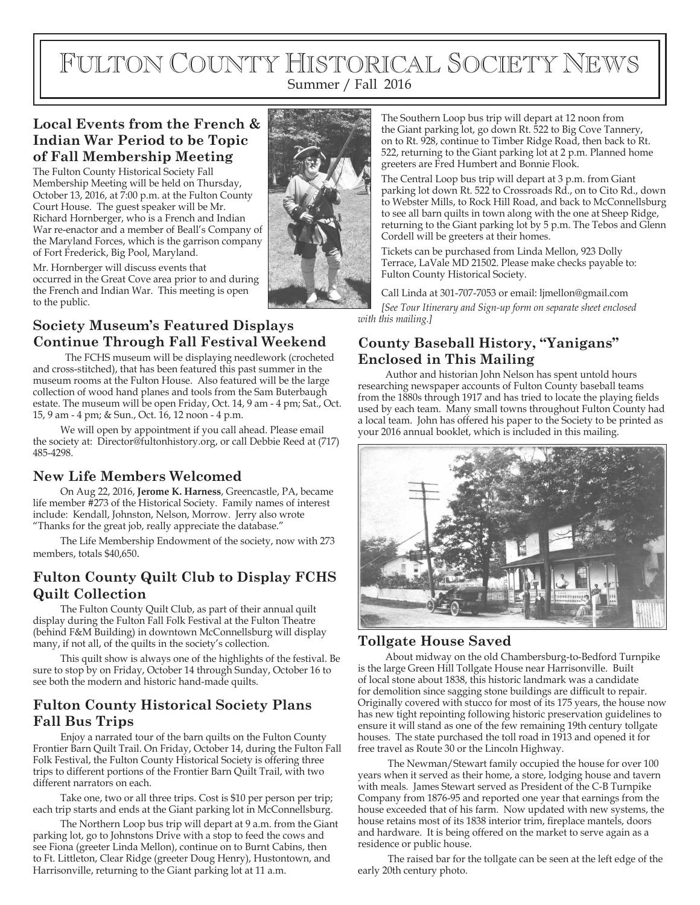# FULTON COUNTY HISTORICAL SOCIETY NEWS Summer / Fall 2016

#### **Local Events from the French & Indian War Period to be Topic of Fall Membership Meeting**

The Fulton County Historical Society Fall Membership Meeting will be held on Thursday, October 13, 2016, at 7:00 p.m. at the Fulton County Court House. The guest speaker will be Mr. Richard Hornberger, who is a French and Indian War re-enactor and a member of Beall's Company of the Maryland Forces, which is the garrison company of Fort Frederick, Big Pool, Maryland.



Mr. Hornberger will discuss events that occurred in the Great Cove area prior to and during the French and Indian War. This meeting is open to the public.

#### **Society Museum's Featured Displays Continue Through Fall Festival Weekend**

 The FCHS museum will be displaying needlework (crocheted and cross-stitched), that has been featured this past summer in the museum rooms at the Fulton House. Also featured will be the large collection of wood hand planes and tools from the Sam Buterbaugh estate. The museum will be open Friday, Oct. 14, 9 am - 4 pm; Sat., Oct. 15, 9 am - 4 pm; & Sun., Oct. 16, 12 noon - 4 p.m.

We will open by appointment if you call ahead. Please email the society at: Director@fultonhistory.org, or call Debbie Reed at (717) 485-4298.

#### **New Life Members Welcomed**

On Aug 22, 2016, **Jerome K. Harness**, Greencastle, PA, became life member #273 of the Historical Society. Family names of interest include: Kendall, Johnston, Nelson, Morrow. Jerry also wrote "Thanks for the great job, really appreciate the database."

The Life Membership Endowment of the society, now with 273 members, totals \$40,650.

## **Fulton County Quilt Club to Display FCHS Quilt Collection**

The Fulton County Quilt Club, as part of their annual quilt display during the Fulton Fall Folk Festival at the Fulton Theatre (behind F&M Building) in downtown McConnellsburg will display many, if not all, of the quilts in the society's collection.

This quilt show is always one of the highlights of the festival. Be sure to stop by on Friday, October 14 through Sunday, October 16 to see both the modern and historic hand-made quilts.

# **Fulton County Historical Society Plans Fall Bus Trips**

Enjoy a narrated tour of the barn quilts on the Fulton County Frontier Barn Quilt Trail. On Friday, October 14, during the Fulton Fall Folk Festival, the Fulton County Historical Society is offering three trips to different portions of the Frontier Barn Quilt Trail, with two different narrators on each.

Take one, two or all three trips. Cost is \$10 per person per trip; each trip starts and ends at the Giant parking lot in McConnellsburg.

The Northern Loop bus trip will depart at 9 a.m. from the Giant parking lot, go to Johnstons Drive with a stop to feed the cows and see Fiona (greeter Linda Mellon), continue on to Burnt Cabins, then to Ft. Littleton, Clear Ridge (greeter Doug Henry), Hustontown, and Harrisonville, returning to the Giant parking lot at 11 a.m.

The Southern Loop bus trip will depart at 12 noon from the Giant parking lot, go down Rt. 522 to Big Cove Tannery, on to Rt. 928, continue to Timber Ridge Road, then back to Rt. 522, returning to the Giant parking lot at 2 p.m. Planned home greeters are Fred Humbert and Bonnie Flook.

The Central Loop bus trip will depart at 3 p.m. from Giant parking lot down Rt. 522 to Crossroads Rd., on to Cito Rd., down to Webster Mills, to Rock Hill Road, and back to McConnellsburg to see all barn quilts in town along with the one at Sheep Ridge, returning to the Giant parking lot by 5 p.m. The Tebos and Glenn Cordell will be greeters at their homes.

Tickets can be purchased from Linda Mellon, 923 Dolly Terrace, LaVale MD 21502. Please make checks payable to: Fulton County Historical Society.

Call Linda at 301-707-7053 or email: ljmellon@gmail.com *[See Tour Itinerary and Sign-up form on separate sheet enclosed with this mailing.]*

#### **County Baseball History, "Yanigans" Enclosed in This Mailing**

Author and historian John Nelson has spent untold hours researching newspaper accounts of Fulton County baseball teams from the 1880s through 1917 and has tried to locate the playing fields used by each team. Many small towns throughout Fulton County had a local team. John has offered his paper to the Society to be printed as your 2016 annual booklet, which is included in this mailing.



#### **Tollgate House Saved**

About midway on the old Chambersburg-to-Bedford Turnpike is the large Green Hill Tollgate House near Harrisonville. Built of local stone about 1838, this historic landmark was a candidate for demolition since sagging stone buildings are difficult to repair. Originally covered with stucco for most of its 175 years, the house now has new tight repointing following historic preservation guidelines to ensure it will stand as one of the few remaining 19th century tollgate houses. The state purchased the toll road in 1913 and opened it for free travel as Route 30 or the Lincoln Highway.

 The Newman/Stewart family occupied the house for over 100 years when it served as their home, a store, lodging house and tavern with meals. James Stewart served as President of the C-B Turnpike Company from 1876-95 and reported one year that earnings from the house exceeded that of his farm. Now updated with new systems, the house retains most of its 1838 interior trim, fireplace mantels, doors and hardware. It is being offered on the market to serve again as a residence or public house.

 The raised bar for the tollgate can be seen at the left edge of the early 20th century photo.